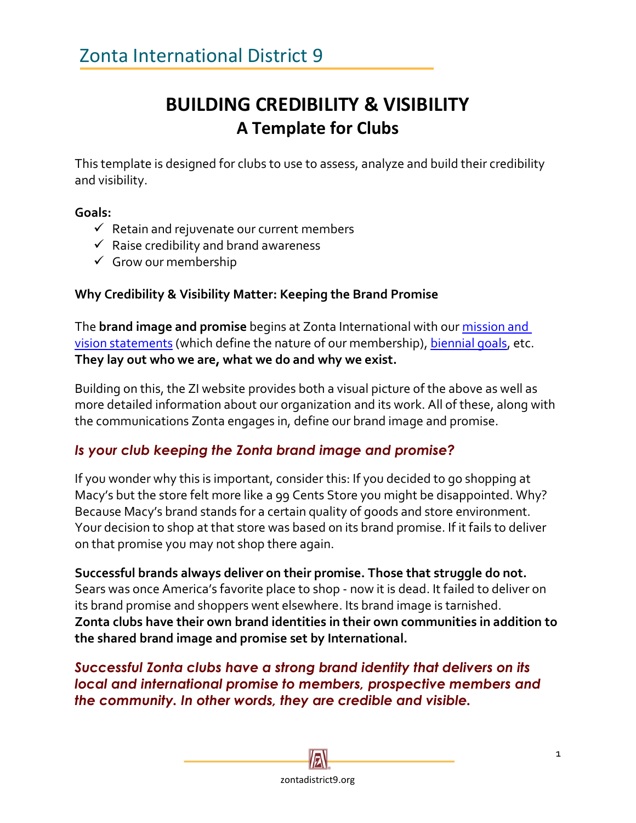## **BUILDING CREDIBILITY & VISIBILITY A Template for Clubs**

This template is designed for clubs to use to assess, analyze and build their credibility and visibility.

### **Goals:**

- $\checkmark$  Retain and rejuvenate our current members
- $\checkmark$  Raise credibility and brand awareness
- $\checkmark$  Grow our membership

## **Why Credibility & Visibility Matter: Keeping the Brand Promise**

The **brand image and promise** begins at Zonta International with our [mission and](http://www.zonta.org/Web/About_Us/Mission_and_Vision/Web/About/Mission%20and%20Vision.aspx?hkey=560f3576-6d5b-4b08-b434-688ec549503d)  [vision statements](http://www.zonta.org/Web/About_Us/Mission_and_Vision/Web/About/Mission%20and%20Vision.aspx?hkey=560f3576-6d5b-4b08-b434-688ec549503d) (which define the nature of our membership)[, biennial goals,](https://www.zonta.org/Web/My_Zonta/Governance/Biennial_Goals) etc. **They lay out who we are, what we do and why we exist.**

Building on this, the ZI website provides both a visual picture of the above as well as more detailed information about our organization and its work. All of these, along with the communications Zonta engages in, define our brand image and promise.

## *Is your club keeping the Zonta brand image and promise?*

If you wonder why this is important, consider this: If you decided to go shopping at Macy's but the store felt more like a 99 Cents Store you might be disappointed. Why? Because Macy's brand stands for a certain quality of goods and store environment. Your decision to shop at that store was based on its brand promise. If it fails to deliver on that promise you may not shop there again.

**Successful brands always deliver on their promise. Those that struggle do not.** Sears was once America's favorite place to shop - now it is dead. It failed to deliver on its brand promise and shoppers went elsewhere. Its brand image is tarnished. **Zonta clubs have their own brand identities in their own communities in addition to the shared brand image and promise set by International.** 

*Successful Zonta clubs have a strong brand identity that delivers on its local and international promise to members, prospective members and the community. In other words, they are credible and visible.*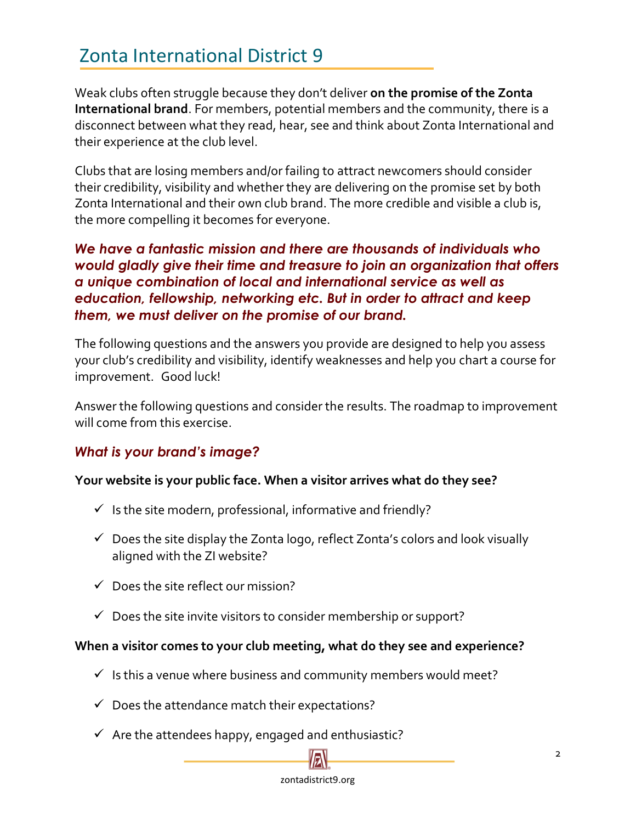# Zonta International District 9

Weak clubs often struggle because they don't deliver **on the promise of the Zonta International brand**. For members, potential members and the community, there is a disconnect between what they read, hear, see and think about Zonta International and their experience at the club level.

Clubs that are losing members and/or failing to attract newcomers should consider their credibility, visibility and whether they are delivering on the promise set by both Zonta International and their own club brand. The more credible and visible a club is, the more compelling it becomes for everyone.

*We have a fantastic mission and there are thousands of individuals who would gladly give their time and treasure to join an organization that offers a unique combination of local and international service as well as education, fellowship, networking etc. But in order to attract and keep them, we must deliver on the promise of our brand.* 

The following questions and the answers you provide are designed to help you assess your club's credibility and visibility, identify weaknesses and help you chart a course for improvement. Good luck!

Answer the following questions and consider the results. The roadmap to improvement will come from this exercise.

## *What is your brand's image?*

#### **Your website is your public face. When a visitor arrives what do they see?**

- $\checkmark$  Is the site modern, professional, informative and friendly?
- $\checkmark$  Does the site display the Zonta logo, reflect Zonta's colors and look visually aligned with the ZI website?
- $\checkmark$  Does the site reflect our mission?
- $\checkmark$  Does the site invite visitors to consider membership or support?

#### **When a visitor comes to your club meeting, what do they see and experience?**

- $\checkmark$  Is this a venue where business and community members would meet?
- $\checkmark$  Does the attendance match their expectations?
- $\checkmark$  Are the attendees happy, engaged and enthusiastic?

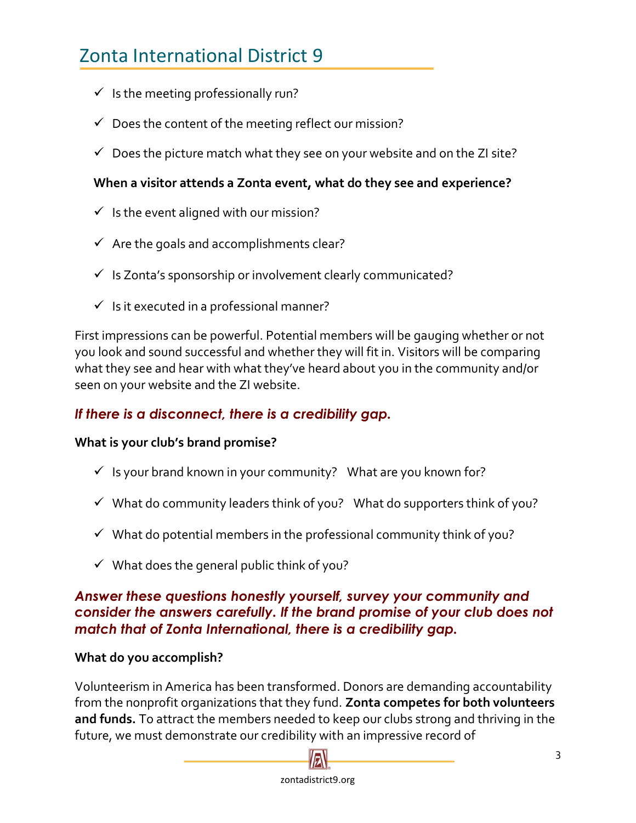- $\checkmark$  Is the meeting professionally run?
- $\checkmark$  Does the content of the meeting reflect our mission?
- $\checkmark$  Does the picture match what they see on your website and on the ZI site?

### **When a visitor attends a Zonta event, what do they see and experience?**

- $\checkmark$  Is the event aligned with our mission?
- $\checkmark$  Are the goals and accomplishments clear?
- $\checkmark$  Is Zonta's sponsorship or involvement clearly communicated?
- $\checkmark$  Is it executed in a professional manner?

First impressions can be powerful. Potential members will be gauging whether or not you look and sound successful and whether they will fit in. Visitors will be comparing what they see and hear with what they've heard about you in the community and/or seen on your website and the ZI website.

## *If there is a disconnect, there is a credibility gap.*

#### **What is your club's brand promise?**

- $\checkmark$  Is your brand known in your community? What are you known for?
- $\checkmark$  What do community leaders think of you? What do supporters think of you?
- $\checkmark$  What do potential members in the professional community think of you?
- $\checkmark$  What does the general public think of you?

### *Answer these questions honestly yourself, survey your community and consider the answers carefully. If the brand promise of your club does not match that of Zonta International, there is a credibility gap.*

#### **What do you accomplish?**

Volunteerism in America has been transformed. Donors are demanding accountability from the nonprofit organizations that they fund. **Zonta competes for both volunteers and funds.** To attract the members needed to keep our clubs strong and thriving in the future, we must demonstrate our credibility with an impressive record of

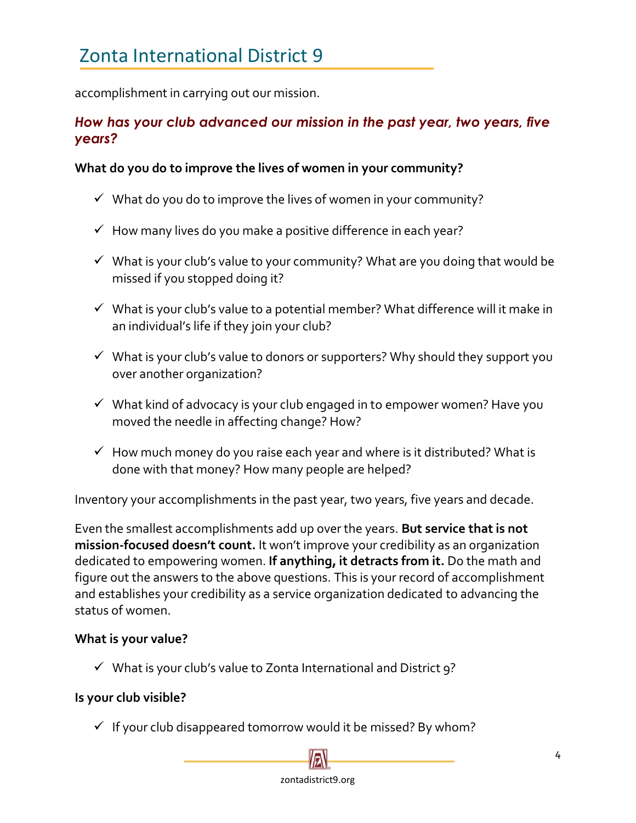accomplishment in carrying out our mission.

## *How has your club advanced our mission in the past year, two years, five years?*

#### **What do you do to improve the lives of women in your community?**

- $\checkmark$  What do you do to improve the lives of women in your community?
- $\checkmark$  How many lives do you make a positive difference in each year?
- $\checkmark$  What is your club's value to your community? What are you doing that would be missed if you stopped doing it?
- $\checkmark$  What is your club's value to a potential member? What difference will it make in an individual's life if they join your club?
- ✓ What is your club's value to donors or supporters? Why should they support you over another organization?
- $\checkmark$  What kind of advocacy is your club engaged in to empower women? Have you moved the needle in affecting change? How?
- $\checkmark$  How much money do you raise each year and where is it distributed? What is done with that money? How many people are helped?

Inventory your accomplishments in the past year, two years, five years and decade.

Even the smallest accomplishments add up over the years. **But service that is not mission-focused doesn't count.** It won't improve your credibility as an organization dedicated to empowering women. **If anything, it detracts from it.** Do the math and figure out the answers to the above questions. This is your record of accomplishment and establishes your credibility as a service organization dedicated to advancing the status of women.

#### **What is your value?**

 $\checkmark$  What is your club's value to Zonta International and District 9?

#### **Is your club visible?**

✓ If your club disappeared tomorrow would it be missed? By whom?